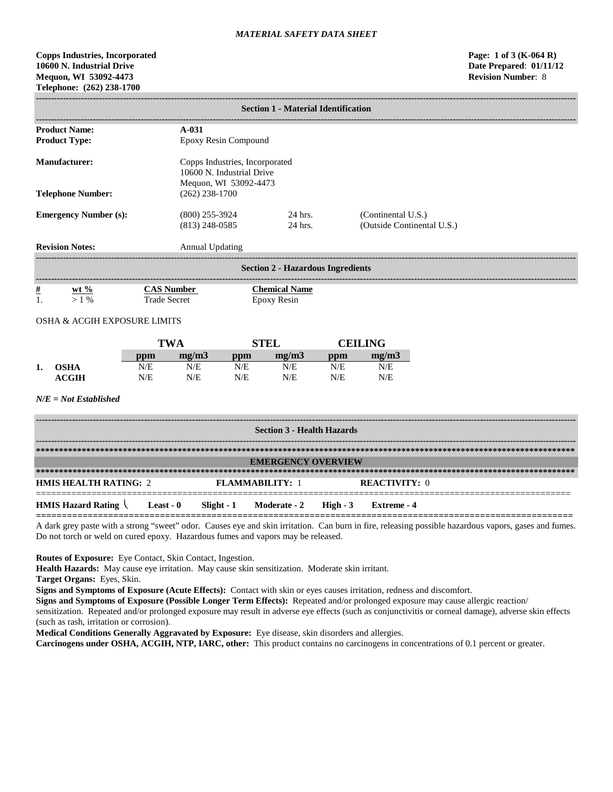# **Copps Industries, Incorporated Page: 1 of 3 (K-064 R) 10600 N. Industrial Drive Date Prepared**: **01/11/12 Mequon, WI 53092-4473 Revision Number**: 8 **Telephone: (262) 238-1700**

|                                                                                 | <b>Section 1 - Material Identification</b>                                     |                   |                                                                                        |                                                                                      |                     |                                                  |                     |  |  |
|---------------------------------------------------------------------------------|--------------------------------------------------------------------------------|-------------------|----------------------------------------------------------------------------------------|--------------------------------------------------------------------------------------|---------------------|--------------------------------------------------|---------------------|--|--|
| <b>Product Name:</b><br>$A-031$<br><b>Product Type:</b><br>Epoxy Resin Compound |                                                                                |                   |                                                                                        |                                                                                      |                     |                                                  |                     |  |  |
|                                                                                 | <b>Manufacturer:</b>                                                           |                   |                                                                                        | Copps Industries, Incorporated<br>10600 N. Industrial Drive<br>Mequon, WI 53092-4473 |                     |                                                  |                     |  |  |
| <b>Telephone Number:</b><br><b>Emergency Number (s):</b>                        |                                                                                |                   | $(262)$ 238-1700<br>24 hrs.<br>$(800)$ 255-3924<br>$(813)$ 248-0585<br>$24$ hrs.       |                                                                                      |                     | (Continental U.S.)<br>(Outside Continental U.S.) |                     |  |  |
|                                                                                 | <b>Revision Notes:</b>                                                         |                   | <b>Annual Updating</b>                                                                 |                                                                                      |                     |                                                  |                     |  |  |
|                                                                                 | <b>Section 2 - Hazardous Ingredients</b><br>-------------------------          |                   |                                                                                        |                                                                                      |                     |                                                  |                     |  |  |
| $\frac{\#}{1}$                                                                  | wt $\%$<br>$>1\%$                                                              |                   | <b>CAS Number</b><br><b>Chemical Name</b><br><b>Trade Secret</b><br><b>Epoxy Resin</b> |                                                                                      |                     |                                                  |                     |  |  |
|                                                                                 | OSHA & ACGIH EXPOSURE LIMITS                                                   |                   |                                                                                        |                                                                                      |                     |                                                  |                     |  |  |
|                                                                                 |                                                                                |                   | <b>TWA</b>                                                                             |                                                                                      | <b>STEL</b>         |                                                  | <b>CEILING</b>      |  |  |
| 1.                                                                              | <b>OSHA</b><br><b>ACGIH</b><br>$N/E = Not$ Established                         | ppm<br>N/E<br>N/E | mg/m3<br>N/E<br>N/E                                                                    | ppm<br>N/E<br>N/E                                                                    | mg/m3<br>N/E<br>N/E | ppm<br>N/E<br>N/E                                | mg/m3<br>N/E<br>N/E |  |  |
|                                                                                 | <b>Section 3 - Health Hazards</b>                                              |                   |                                                                                        |                                                                                      |                     |                                                  |                     |  |  |
|                                                                                 | <b>EMERGENCY OVERVIEW</b>                                                      |                   |                                                                                        |                                                                                      |                     |                                                  |                     |  |  |
|                                                                                 | <b>HMIS HEALTH RATING: 2</b><br><b>FLAMMABILITY: 1</b><br><b>REACTIVITY: 0</b> |                   |                                                                                        |                                                                                      |                     |                                                  |                     |  |  |

**========================================================================================================** A dark grey paste with a strong "sweet" odor. Causes eye and skin irritation. Can burn in fire, releasing possible hazardous vapors, gases and fumes. Do not torch or weld on cured epoxy. Hazardous fumes and vapors may be released.

**Routes of Exposure:** Eye Contact, Skin Contact, Ingestion.

**Health Hazards:** May cause eye irritation. May cause skin sensitization. Moderate skin irritant.

**HMIS Hazard Rating Least - 0 Slight - 1 Moderate - 2 High - 3 Extreme - 4**

**Target Organs:** Eyes, Skin.

**Signs and Symptoms of Exposure (Acute Effects):** Contact with skin or eyes causes irritation, redness and discomfort.

**Signs and Symptoms of Exposure (Possible Longer Term Effects):** Repeated and/or prolonged exposure may cause allergic reaction/

sensitization. Repeated and/or prolonged exposure may result in adverse eye effects (such as conjunctivitis or corneal damage), adverse skin effects (such as rash, irritation or corrosion).

**Medical Conditions Generally Aggravated by Exposure:** Eye disease, skin disorders and allergies.

**Carcinogens under OSHA, ACGIH, NTP, IARC, other:** This product contains no carcinogens in concentrations of 0.1 percent or greater.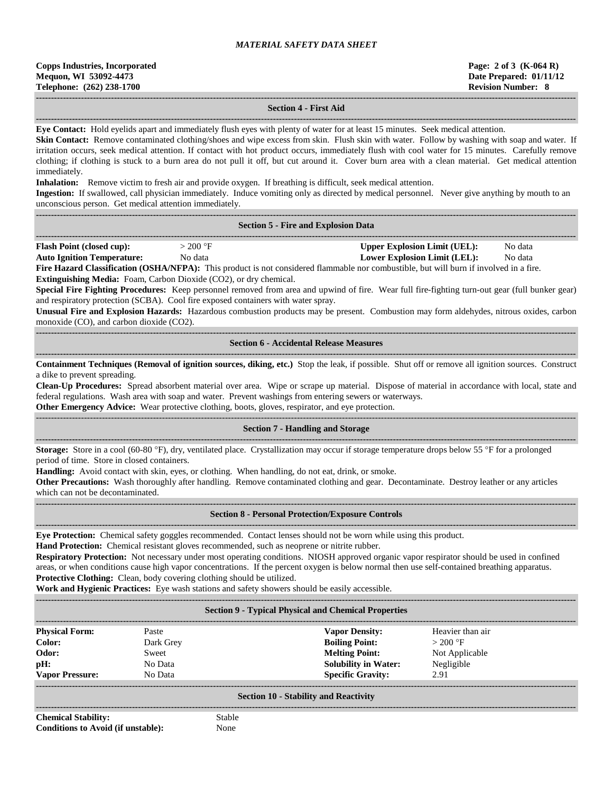| <b>Copps Industries, Incorporated</b> |
|---------------------------------------|
| Mequon, WI 53092-4473                 |
| Telephone: (262) 238-1700             |

## **------------------------------------------------------------------------------------------------------------------------------------------------------------------------------------ Section 4 - First Aid**

**------------------------------------------------------------------------------------------------------------------------------------------------------------------------------------ Eye Contact:** Hold eyelids apart and immediately flush eyes with plenty of water for at least 15 minutes. Seek medical attention.

**Skin Contact:** Remove contaminated clothing/shoes and wipe excess from skin. Flush skin with water. Follow by washing with soap and water. If irritation occurs, seek medical attention. If contact with hot product occurs, immediately flush with cool water for 15 minutes. Carefully remove clothing; if clothing is stuck to a burn area do not pull it off, but cut around it. Cover burn area with a clean material. Get medical attention immediately.

**Inhalation:** Remove victim to fresh air and provide oxygen. If breathing is difficult, seek medical attention.

**Ingestion:** If swallowed, call physician immediately. Induce vomiting only as directed by medical personnel. Never give anything by mouth to an unconscious person. Get medical attention immediately.

| <b>Section 5 - Fire and Explosion Data</b> |  |
|--------------------------------------------|--|

|                       |     |                             | -------         |
|-----------------------|-----|-----------------------------|-----------------|
| Flash<br>-^11D .<br>. | 200 | . . ımıt<br> nner<br>'osion | Nc<br>data<br>. |

**Auto Ignition Temperature:** No data **Lower Explosion Limit (LEL):** No data

**Fire Hazard Classification (OSHA/NFPA):** This product is not considered flammable nor combustible, but will burn if involved in a fire.

**Extinguishing Media:** Foam, Carbon Dioxide (CO2), or dry chemical.

**Special Fire Fighting Procedures:** Keep personnel removed from area and upwind of fire. Wear full fire-fighting turn-out gear (full bunker gear) and respiratory protection (SCBA). Cool fire exposed containers with water spray.

**Unusual Fire and Explosion Hazards:** Hazardous combustion products may be present. Combustion may form aldehydes, nitrous oxides, carbon monoxide (CO), and carbon dioxide (CO2).

**------------------------------------------------------------------------------------------------------------------------------------------------------------------------------------ Section 6 - Accidental Release Measures**

**------------------------------------------------------------------------------------------------------------------------------------------------------------------------------------ Containment Techniques (Removal of ignition sources, diking, etc.)** Stop the leak, if possible. Shut off or remove all ignition sources. Construct a dike to prevent spreading.

**Clean-Up Procedures:** Spread absorbent material over area. Wipe or scrape up material. Dispose of material in accordance with local, state and federal regulations. Wash area with soap and water. Prevent washings from entering sewers or waterways.

**Other Emergency Advice:** Wear protective clothing, boots, gloves, respirator, and eye protection.

### ------------------------------------------------------------------------------------------------------------------------------------------------------------------------------------ **Section 7 - Handling and Storage**

**------------------------------------------------------------------------------------------------------------------------------------------------------------------------------------ Storage:** Store in a cool (60-80 °F), dry, ventilated place. Crystallization may occur if storage temperature drops below 55 °F for a prolonged period of time. Store in closed containers.

**Handling:** Avoid contact with skin, eyes, or clothing. When handling, do not eat, drink, or smoke.

**Other Precautions:** Wash thoroughly after handling. Remove contaminated clothing and gear. Decontaminate. Destroy leather or any articles which can not be decontaminated.

#### **------------------------------------------------------------------------------------------------------------------------------------------------------------------------------------ Section 8 - Personal Protection/Exposure Controls**

**------------------------------------------------------------------------------------------------------------------------------------------------------------------------------------ Eye Protection:** Chemical safety goggles recommended. Contact lenses should not be worn while using this product.

**Hand Protection:** Chemical resistant gloves recommended, such as neoprene or nitrite rubber.

**Respiratory Protection:** Not necessary under most operating conditions. NIOSH approved organic vapor respirator should be used in confined areas, or when conditions cause high vapor concentrations. If the percent oxygen is below normal then use self-contained breathing apparatus. **Protective Clothing:** Clean, body covering clothing should be utilized.

**Work and Hygienic Practices:** Eye wash stations and safety showers should be easily accessible.

**------------------------------------------------------------------------------------------------------------------------------------------------------------------------------------**

## **Section 9 - Typical Physical and Chemical Properties**

| <b>Physical Form:</b><br>Paste    | <b>Vapor Density:</b>       | Heavier than air |  |
|-----------------------------------|-----------------------------|------------------|--|
| Color:<br>Dark Grey               | <b>Boiling Point:</b>       | $>200$ °F        |  |
| Odor:<br>Sweet                    | <b>Melting Point:</b>       | Not Applicable   |  |
| pH:<br>No Data                    | <b>Solubility in Water:</b> | Negligible       |  |
| <b>Vapor Pressure:</b><br>No Data | <b>Specific Gravity:</b>    | 2.91             |  |
|                                   |                             |                  |  |

### **Section 10 - Stability and Reactivity ------------------------------------------------------------------------------------------------------------------------------------------------------------------------------------**

**Chemical Stability:** Stable **Conditions to Avoid (if unstable):** None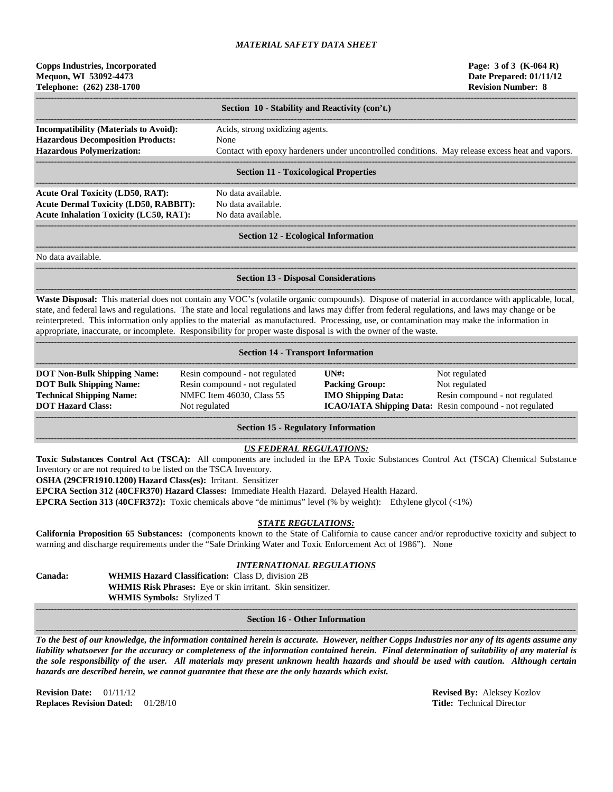# **Copps Industries, Incorporated Page: 3 of 3 (K-064 R) Mequon, WI 53092-4473 Date Prepared: 01/11/12 Telephone: (262) 238-1700 Revision Number: 8**

|                                              | Section 10 - Stability and Reactivity (con't.)                                                  |
|----------------------------------------------|-------------------------------------------------------------------------------------------------|
|                                              |                                                                                                 |
| <b>Incompatibility (Materials to Avoid):</b> | Acids, strong oxidizing agents.                                                                 |
| <b>Hazardous Decomposition Products:</b>     | None                                                                                            |
| <b>Hazardous Polymerization:</b>             | Contact with epoxy hardeners under uncontrolled conditions. May release excess heat and vapors. |
|                                              |                                                                                                 |
|                                              | Section 11 Texteclecical Draporties                                                             |

### **Section 11 - Toxicological Properties**

**------------------------------------------------------------------------------------------------------------------------------------------------------------------------------------** Acute Oral Toxicity (LD50, RAT): No data available. **Acute Dermal Toxicity (LD50, RABBIT):** No data available. Acute Inhalation Toxicity (LC50, RAT): No data available.

### ------------------------------------------------------------------------------------------------------------------------------------------------------------------------------------ **Section 12 - Ecological Information**

**------------------------------------------------------------------------------------------------------------------------------------------------------------------------------------**

**------------------------------------------------------------------------------------------------------------------------------------------------------------------------------------**

No data available.

#### **------------------------------------------------------------------------------------------------------------------------------------------------------------------------------------ Section 13 - Disposal Considerations**

**------------------------------------------------------------------------------------------------------------------------------------------------------------------------------------ Waste Disposal:** This material does not contain any VOC's (volatile organic compounds). Dispose of material in accordance with applicable, local, state, and federal laws and regulations. The state and local regulations and laws may differ from federal regulations, and laws may change or be reinterpreted. This information only applies to the material as manufactured. Processing, use, or contamination may make the information in appropriate, inaccurate, or incomplete. Responsibility for proper waste disposal is with the owner of the waste.

| <b>Section 14 - Transport Information</b>                                                                                           |                                                                                                                |                                                                                                      |                                                                                                                             |  |  |  |  |
|-------------------------------------------------------------------------------------------------------------------------------------|----------------------------------------------------------------------------------------------------------------|------------------------------------------------------------------------------------------------------|-----------------------------------------------------------------------------------------------------------------------------|--|--|--|--|
| <b>DOT Non-Bulk Shipping Name:</b><br><b>DOT Bulk Shipping Name:</b><br><b>Technical Shipping Name:</b><br><b>DOT Hazard Class:</b> | Resin compound - not regulated<br>Resin compound - not regulated<br>NMFC Item 46030, Class 55<br>Not regulated | $\overline{I}$ $\overline{N}$ $\overline{H}$ :<br><b>Packing Group:</b><br><b>IMO Shipping Data:</b> | Not regulated<br>Not regulated<br>Resin compound - not regulated<br>ICAO/IATA Shipping Data: Resin compound - not regulated |  |  |  |  |

**Section 15 - Regulatory Information**

## *US FEDERAL REGULATIONS:*

**Toxic Substances Control Act (TSCA):** All components are included in the EPA Toxic Substances Control Act (TSCA) Chemical Substance Inventory or are not required to be listed on the TSCA Inventory.

**OSHA (29CFR1910.1200) Hazard Class(es):** Irritant. Sensitizer

**EPCRA Section 312 (40CFR370) Hazard Classes:** Immediate Health Hazard. Delayed Health Hazard.

**EPCRA Section 313 (40CFR372):** Toxic chemicals above "de minimus" level (% by weight): Ethylene glycol (<1%)

# *STATE REGULATIONS:*

**California Proposition 65 Substances:** (components known to the State of California to cause cancer and/or reproductive toxicity and subject to warning and discharge requirements under the "Safe Drinking Water and Toxic Enforcement Act of 1986"). None

# *INTERNATIONAL REGULATIONS*

**Canada: WHMIS Hazard Classification:** Class D, division 2B **WHMIS Risk Phrases:** Eye or skin irritant. Skin sensitizer. **WHMIS Symbols:** Stylized T

#### **------------------------------------------------------------------------------------------------------------------------------------------------------------------------------------ Section 16 - Other Information**

**------------------------------------------------------------------------------------------------------------------------------------------------------------------------------------** *To the best of our knowledge, the information contained herein is accurate. However, neither Copps Industries nor any of its agents assume any liability whatsoever for the accuracy or completeness of the information contained herein. Final determination of suitability of any material is the sole responsibility of the user. All materials may present unknown health hazards and should be used with caution. Although certain hazards are described herein, we cannot guarantee that these are the only hazards which exist.*

**Revision Date:** 01/11/12 **Revised By:** Aleksey Kozlov **Replaces Revision Dated:** 01/28/10 **Title:** Technical Director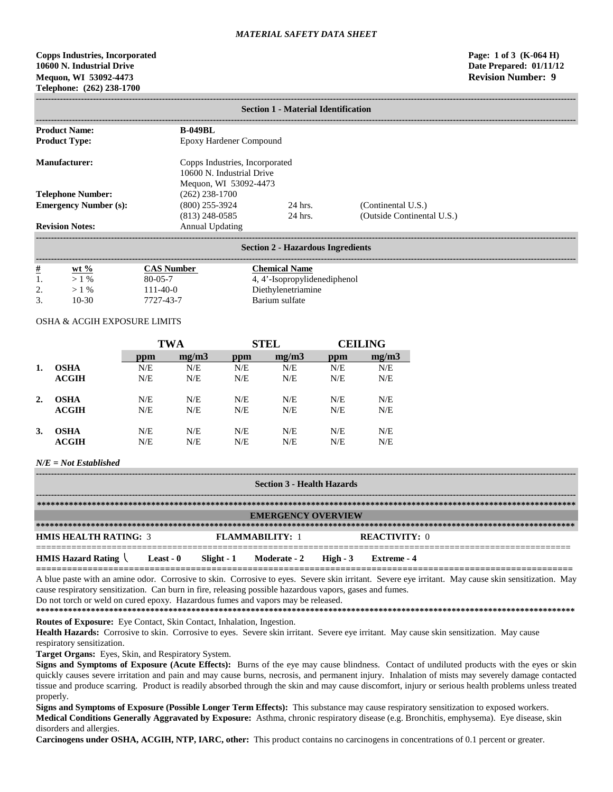# **Copps Industries, Incorporated Page: 1 of 3 (K-064 H) 10600 N. Industrial Drive Date Prepared: 01/11/12 Mequon, WI 53092-4473 Revision Number: 9 Telephone: (262) 238-1700**

|                              | <b>Section 1 - Material Identification</b>                                           |                      |                                                  |  |  |  |  |
|------------------------------|--------------------------------------------------------------------------------------|----------------------|--------------------------------------------------|--|--|--|--|
| <b>Product Name:</b>         | <b>B-049BL</b>                                                                       |                      |                                                  |  |  |  |  |
| <b>Product Type:</b>         | Epoxy Hardener Compound                                                              |                      |                                                  |  |  |  |  |
| Manufacturer:                | Copps Industries, Incorporated<br>10600 N. Industrial Drive<br>Mequon, WI 53092-4473 |                      |                                                  |  |  |  |  |
| <b>Telephone Number:</b>     | $(262)$ 238-1700                                                                     |                      |                                                  |  |  |  |  |
| <b>Emergency Number (s):</b> | $(800)$ 255-3924<br>$(813)$ 248-0585                                                 | 24 hrs.<br>$24$ hrs. | (Continental U.S.)<br>(Outside Continental U.S.) |  |  |  |  |
| <b>Revision Notes:</b>       | <b>Annual Updating</b>                                                               |                      |                                                  |  |  |  |  |

| <u>#</u>                  | $wt \%$ | CAS Number     | Chemical Name                |
|---------------------------|---------|----------------|------------------------------|
|                           | $\%$    | $80 - 05 - 7$  | 4, 4'-Isopropylidenediphenol |
| $\bigcap$<br><u>.</u>     | $\%$    | $111 - 40 - 0$ | Diethylenetriamine           |
| $\mathcal{R}$<br><u>.</u> | 10-30   | 7727-43-7      | Barium sulfate               |

### OSHA & ACGIH EXPOSURE LIMITS

|    |              | <b>TWA</b> |       | <b>STEL</b> |       | CEILING |       |
|----|--------------|------------|-------|-------------|-------|---------|-------|
|    |              | ppm        | mg/m3 | ppm         | mg/m3 | ppm     | mg/m3 |
| 1. | <b>OSHA</b>  | N/E        | N/E   | N/E         | N/E   | N/E     | N/E   |
|    | <b>ACGIH</b> | N/E        | N/E   | N/E         | N/E   | N/E     | N/E   |
| 2. | <b>OSHA</b>  | N/E        | N/E   | N/E         | N/E   | N/E     | N/E   |
|    | ACGIH        | N/E        | N/E   | N/E         | N/E   | N/E     | N/E   |
| 3. | <b>OSHA</b>  | N/E        | N/E   | N/E         | N/E   | N/E     | N/E   |
|    | ACGIH        | N/E        | N/E   | N/E         | N/E   | N/E     | N/E   |

### *N/E = Not Established*

| <b>Section 3 - Health Hazards</b>                          |                                                                                |  |                                  |  |             |  |  |
|------------------------------------------------------------|--------------------------------------------------------------------------------|--|----------------------------------|--|-------------|--|--|
|                                                            |                                                                                |  |                                  |  |             |  |  |
|                                                            | <b>EMERGENCY OVERVIEW</b>                                                      |  |                                  |  |             |  |  |
|                                                            |                                                                                |  |                                  |  |             |  |  |
|                                                            | <b>HMIS HEALTH RATING: 3</b><br><b>REACTIVITY: 0</b><br><b>FLAMMARILITY: 1</b> |  |                                  |  |             |  |  |
| <b>HMIS Hazard Rating <math>\setminus</math> Least - 0</b> |                                                                                |  | Slight - 1 Moderate - 2 High - 3 |  | Extreme - 4 |  |  |

A blue paste with an amine odor. Corrosive to skin. Corrosive to eyes. Severe skin irritant. Severe eye irritant. May cause skin sensitization. May cause respiratory sensitization. Can burn in fire, releasing possible hazardous vapors, gases and fumes.

Do not torch or weld on cured epoxy. Hazardous fumes and vapors may be released.

**\*\*\*\*\*\*\*\*\*\*\*\*\*\*\*\*\*\*\*\*\*\*\*\*\*\*\*\*\*\*\*\*\*\*\*\*\*\*\*\*\*\*\*\*\*\*\*\*\*\*\*\*\*\*\*\*\*\*\*\*\*\*\*\*\*\*\*\*\*\*\*\*\*\*\*\*\*\*\*\*\*\*\*\*\*\*\*\*\*\*\*\*\*\*\*\*\*\*\*\*\*\*\*\*\*\*\*\*\*\*\*\*\*\*\*\*\*\***

**Routes of Exposure:** Eye Contact, Skin Contact, Inhalation, Ingestion.

Health Hazards: Corrosive to skin. Corrosive to eyes. Severe skin irritant. Severe eye irritant. May cause skin sensitization. May cause respiratory sensitization.

**Target Organs:** Eyes, Skin, and Respiratory System.

**Signs and Symptoms of Exposure (Acute Effects):** Burns of the eye may cause blindness. Contact of undiluted products with the eyes or skin quickly causes severe irritation and pain and may cause burns, necrosis, and permanent injury. Inhalation of mists may severely damage contacted tissue and produce scarring. Product is readily absorbed through the skin and may cause discomfort, injury or serious health problems unless treated properly.

**Signs and Symptoms of Exposure (Possible Longer Term Effects):** This substance may cause respiratory sensitization to exposed workers. **Medical Conditions Generally Aggravated by Exposure:** Asthma, chronic respiratory disease (e.g. Bronchitis, emphysema). Eye disease, skin disorders and allergies.

**Carcinogens under OSHA, ACGIH, NTP, IARC, other:** This product contains no carcinogens in concentrations of 0.1 percent or greater.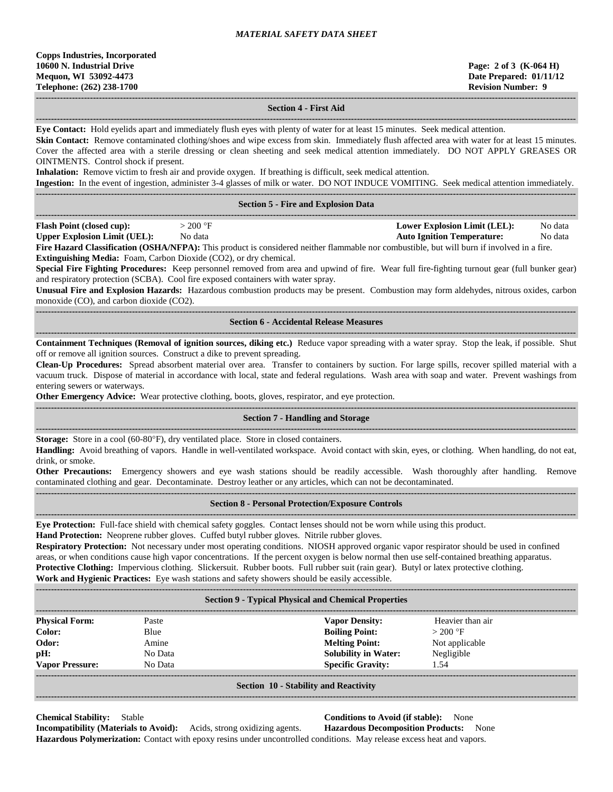# **Section 4 - First Aid**

**------------------------------------------------------------------------------------------------------------------------------------------------------------------------------------ Eye Contact:** Hold eyelids apart and immediately flush eyes with plenty of water for at least 15 minutes. Seek medical attention.

Skin Contact: Remove contaminated clothing/shoes and wipe excess from skin. Immediately flush affected area with water for at least 15 minutes. Cover the affected area with a sterile dressing or clean sheeting and seek medical attention immediately. DO NOT APPLY GREASES OR OINTMENTS. Control shock if present.

**Inhalation:** Remove victim to fresh air and provide oxygen. If breathing is difficult, seek medical attention.

**Ingestion:** In the event of ingestion, administer 3-4 glasses of milk or water. DO NOT INDUCE VOMITING. Seek medical attention immediately.

|                                     |            | <b>Section 5 - Fire and Explosion Data</b>                                                                                                                                                                                                                                                                                           |                                   |         |
|-------------------------------------|------------|--------------------------------------------------------------------------------------------------------------------------------------------------------------------------------------------------------------------------------------------------------------------------------------------------------------------------------------|-----------------------------------|---------|
| <b>Flash Point (closed cup):</b>    | $>$ 200 °F |                                                                                                                                                                                                                                                                                                                                      | Lower Explosion Limit (LEL):      | No data |
| <b>Upper Explosion Limit (UEL):</b> | No data    |                                                                                                                                                                                                                                                                                                                                      | <b>Auto Ignition Temperature:</b> | No data |
|                                     |            | $\mathbf{E}^{\mathbf{L}}$ $\mathbf{H}$ $\mathbf{C}$ $\mathbf{D}$ $\mathbf{C}$ $\mathbf{D}$ $\mathbf{A}$ $\mathbf{D}$ $\mathbf{D}$ $\mathbf{D}$ $\mathbf{D}$ $\mathbf{D}$ $\mathbf{D}$ $\mathbf{D}$ $\mathbf{D}$ $\mathbf{D}$ $\mathbf{D}$ $\mathbf{D}$ $\mathbf{D}$ $\mathbf{D}$ $\mathbf{D}$ $\mathbf{D}$ $\mathbf{D}$ $\mathbf{D}$ |                                   |         |

**Fire Hazard Classification (OSHA/NFPA):** This product is considered neither flammable nor combustible, but will burn if involved in a fire. **Extinguishing Media:** Foam, Carbon Dioxide (CO2), or dry chemical.

**Special Fire Fighting Procedures:** Keep personnel removed from area and upwind of fire. Wear full fire-fighting turnout gear (full bunker gear) and respiratory protection (SCBA). Cool fire exposed containers with water spray.

**Unusual Fire and Explosion Hazards:** Hazardous combustion products may be present. Combustion may form aldehydes, nitrous oxides, carbon monoxide (CO), and carbon dioxide (CO2).

#### **------------------------------------------------------------------------------------------------------------------------------------------------------------------------------------ Section 6 - Accidental Release Measures**

**------------------------------------------------------------------------------------------------------------------------------------------------------------------------------------ Containment Techniques (Removal of ignition sources, diking etc.)** Reduce vapor spreading with a water spray. Stop the leak, if possible. Shut off or remove all ignition sources. Construct a dike to prevent spreading.

**Clean-Up Procedures:** Spread absorbent material over area. Transfer to containers by suction. For large spills, recover spilled material with a vacuum truck. Dispose of material in accordance with local, state and federal regulations. Wash area with soap and water. Prevent washings from entering sewers or waterways.

**Other Emergency Advice:** Wear protective clothing, boots, gloves, respirator, and eye protection.

### **------------------------------------------------------------------------------------------------------------------------------------------------------------------------------------ Section 7 - Handling and Storage**

**------------------------------------------------------------------------------------------------------------------------------------------------------------------------------------ Storage:** Store in a cool (60-80°F), dry ventilated place. Store in closed containers.

**Handling:** Avoid breathing of vapors. Handle in well-ventilated workspace. Avoid contact with skin, eyes, or clothing. When handling, do not eat, drink, or smoke.

**Other Precautions:** Emergency showers and eye wash stations should be readily accessible. Wash thoroughly after handling. Remove contaminated clothing and gear. Decontaminate. Destroy leather or any articles, which can not be decontaminated. **------------------------------------------------------------------------------------------------------------------------------------------------------------------------------------**

### **Section 8 - Personal Protection/Exposure Controls**

**------------------------------------------------------------------------------------------------------------------------------------------------------------------------------------**

**Eye Protection:** Full-face shield with chemical safety goggles. Contact lenses should not be worn while using this product.

**Hand Protection:** Neoprene rubber gloves. Cuffed butyl rubber gloves. Nitrile rubber gloves.

**Respiratory Protection:** Not necessary under most operating conditions. NIOSH approved organic vapor respirator should be used in confined areas, or when conditions cause high vapor concentrations. If the percent oxygen is below normal then use self-contained breathing apparatus. **Protective Clothing:** Impervious clothing. Slickersuit. Rubber boots. Full rubber suit (rain gear). Butyl or latex protective clothing. **Work and Hygienic Practices:** Eye wash stations and safety showers should be easily accessible.

| <b>Section 9 - Typical Physical and Chemical Properties</b> |         |                             |                  |  |
|-------------------------------------------------------------|---------|-----------------------------|------------------|--|
| <b>Physical Form:</b>                                       | Paste   | <b>Vapor Density:</b>       | Heavier than air |  |
| Color:                                                      | Blue    | <b>Boiling Point:</b>       | $>200$ °F        |  |
| Odor:                                                       | Amine   | <b>Melting Point:</b>       | Not applicable   |  |
| pH:                                                         | No Data | <b>Solubility in Water:</b> | Negligible       |  |
| <b>Vapor Pressure:</b>                                      | No Data | <b>Specific Gravity:</b>    | 1.54             |  |
| <b>Section 10 - Stability and Reactivity</b>                |         |                             |                  |  |

**Chemical Stability:** Stable **Conditions to Avoid (if stable):** None

**Incompatibility (Materials to Avoid):** Acids, strong oxidizing agents. **Hazardous Decomposition Products:** None **Hazardous Polymerization:** Contact with epoxy resins under uncontrolled conditions. May release excess heat and vapors.